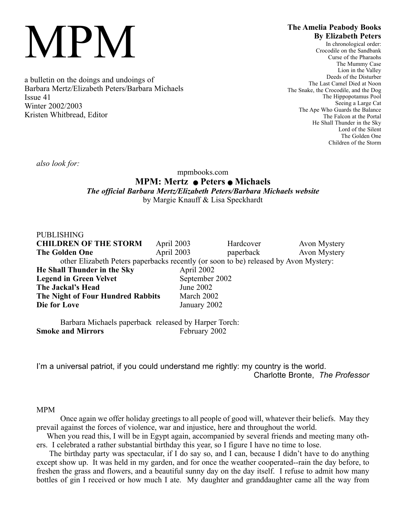# MPM

a bulletin on the doings and undoings of Barbara Mertz/Elizabeth Peters/Barbara Michaels Issue 41 Winter 2002/2003 Kristen Whitbread, Editor

# **The Amelia Peabody Books By Elizabeth Peters**

In chronological order: Crocodile on the Sandbank Curse of the Pharaohs The Mummy Case Lion in the Valley Deeds of the Disturber The Last Camel Died at Noon The Snake, the Crocodile, and the Dog The Hippopotamus Pool Seeing a Large Cat The Ape Who Guards the Balance The Falcon at the Portal He Shall Thunder in the Sky Lord of the Silent The Golden One Children of the Storm

*also look for:*

# mpmbooks.com **MPM: Mertz** Q **Peters** Q **Michaels** *The official Barbara Mertz/Elizabeth Peters/Barbara Michaels website* by Margie Knauff & Lisa Speckhardt

| <b>PUBLISHING</b>                                                                    |                |           |              |
|--------------------------------------------------------------------------------------|----------------|-----------|--------------|
| <b>CHILDREN OF THE STORM</b>                                                         | April 2003     | Hardcover | Avon Mystery |
| <b>The Golden One</b>                                                                | April 2003     | paperback | Avon Mystery |
| other Elizabeth Peters paperbacks recently (or soon to be) released by Avon Mystery: |                |           |              |
| He Shall Thunder in the Sky                                                          | April 2002     |           |              |
| <b>Legend in Green Velvet</b>                                                        | September 2002 |           |              |
| The Jackal's Head                                                                    | June 2002      |           |              |
| The Night of Four Hundred Rabbits                                                    | March 2002     |           |              |
| Die for Love                                                                         | January 2002   |           |              |

Barbara Michaels paperback released by Harper Torch: **Smoke and Mirrors** February 2002

I'm a universal patriot, if you could understand me rightly: my country is the world. Charlotte Bronte, *The Professor*

### MPM

Once again we offer holiday greetings to all people of good will, whatever their beliefs. May they prevail against the forces of violence, war and injustice, here and throughout the world.

When you read this, I will be in Egypt again, accompanied by several friends and meeting many others. I celebrated a rather substantial birthday this year, so I figure I have no time to lose.

The birthday party was spectacular, if I do say so, and I can, because I didn't have to do anything except show up. It was held in my garden, and for once the weather cooperated--rain the day before, to freshen the grass and flowers, and a beautiful sunny day on the day itself. I refuse to admit how many bottles of gin I received or how much I ate. My daughter and granddaughter came all the way from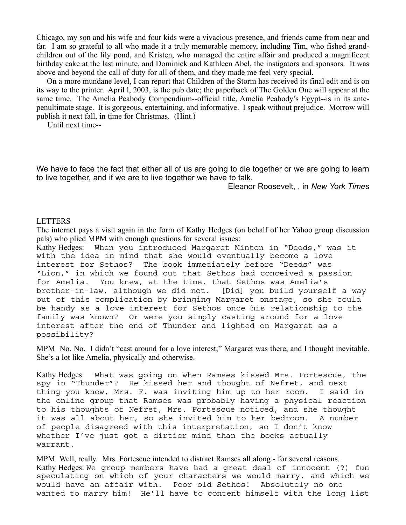Chicago, my son and his wife and four kids were a vivacious presence, and friends came from near and far. I am so grateful to all who made it a truly memorable memory, including Tim, who fished grandchildren out of the lily pond, and Kristen, who managed the entire affair and produced a magnificent birthday cake at the last minute, and Dominick and Kathleen Abel, the instigators and sponsors. It was above and beyond the call of duty for all of them, and they made me feel very special.

On a more mundane level, I can report that Children of the Storm has received its final edit and is on its way to the printer. April l, 2003, is the pub date; the paperback of The Golden One will appear at the same time. The Amelia Peabody Compendium--official title, Amelia Peabody's Egypt--is in its antepenultimate stage. It is gorgeous, entertaining, and informative. I speak without prejudice. Morrow will publish it next fall, in time for Christmas. (Hint.)

Until next time--

We have to face the fact that either all of us are going to die together or we are going to learn to live together, and if we are to live together we have to talk.

Eleanor Roosevelt, , in *New York Times*

#### LETTERS

The internet pays a visit again in the form of Kathy Hedges (on behalf of her Yahoo group discussion pals) who plied MPM with enough questions for several issues:

Kathy Hedges: When you introduced Margaret Minton in "Deeds," was it with the idea in mind that she would eventually become a love interest for Sethos? The book immediately before "Deeds" was "Lion," in which we found out that Sethos had conceived a passion for Amelia. You knew, at the time, that Sethos was Amelia's brother-in-law, although we did not. [Did] you build yourself a way out of this complication by bringing Margaret onstage, so she could be handy as a love interest for Sethos once his relationship to the family was known? Or were you simply casting around for a love interest after the end of Thunder and lighted on Margaret as a possibility?

MPM No. No. I didn't "cast around for a love interest;" Margaret was there, and I thought inevitable. She's a lot like Amelia, physically and otherwise.

Kathy Hedges: What was going on when Ramses kissed Mrs. Fortescue, the spy in "Thunder"? He kissed her and thought of Nefret, and next thing you know, Mrs. F. was inviting him up to her room. I said in the online group that Ramses was probably having a physical reaction to his thoughts of Nefret, Mrs. Fortescue noticed, and she thought it was all about her, so she invited him to her bedroom. A number of people disagreed with this interpretation, so I don't know whether I've just got a dirtier mind than the books actually warrant.

MPM Well, really. Mrs. Fortescue intended to distract Ramses all along - for several reasons. Kathy Hedges: We group members have had a great deal of innocent (?) fun speculating on which of your characters we would marry, and which we would have an affair with. Poor old Sethos! Absolutely no one wanted to marry him! He'll have to content himself with the long list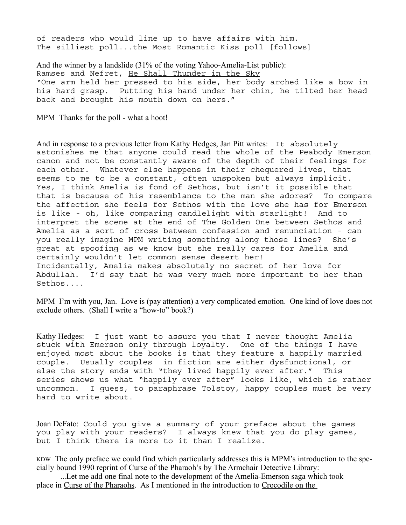of readers who would line up to have affairs with him. The silliest poll...the Most Romantic Kiss poll [follows]

And the winner by a landslide (31% of the voting Yahoo-Amelia-List public): Ramses and Nefret, He Shall Thunder in the Sky "One arm held her pressed to his side, her body arched like a bow in his hard grasp. Putting his hand under her chin, he tilted her head back and brought his mouth down on hers."

MPM Thanks for the poll - what a hoot!

And in response to a previous letter from Kathy Hedges, Jan Pitt writes: It absolutely astonishes me that anyone could read the whole of the Peabody Emerson canon and not be constantly aware of the depth of their feelings for each other. Whatever else happens in their chequered lives, that seems to me to be a constant, often unspoken but always implicit. Yes, I think Amelia is fond of Sethos, but isn't it possible that that is because of his resemblance to the man she adores? To compare the affection she feels for Sethos with the love she has for Emerson is like - oh, like comparing candlelight with starlight! And to interpret the scene at the end of The Golden One between Sethos and Amelia as a sort of cross between confession and renunciation - can you really imagine MPM writing something along those lines? She's great at spoofing as we know but she really cares for Amelia and certainly wouldn't let common sense desert her! Incidentally, Amelia makes absolutely no secret of her love for Abdullah. I'd say that he was very much more important to her than Sethos....

MPM I'm with you, Jan. Love is (pay attention) a very complicated emotion. One kind of love does not exclude others. (Shall I write a "how-to" book?)

Kathy Hedges: I just want to assure you that I never thought Amelia stuck with Emerson only through loyalty. One of the things I have enjoyed most about the books is that they feature a happily married couple. Usually couples in fiction are either dysfunctional, or else the story ends with "they lived happily ever after." This series shows us what "happily ever after" looks like, which is rather uncommon. I guess, to paraphrase Tolstoy, happy couples must be very hard to write about.

Joan DeFato: Could you give a summary of your preface about the games you play with your readers? I always knew that you do play games, but I think there is more to it than I realize.

KDW The only preface we could find which particularly addresses this is MPM's introduction to the specially bound 1990 reprint of Curse of the Pharaoh's by The Armchair Detective Library:

...Let me add one final note to the development of the Amelia-Emerson saga which took place in Curse of the Pharaohs. As I mentioned in the introduction to Crocodile on the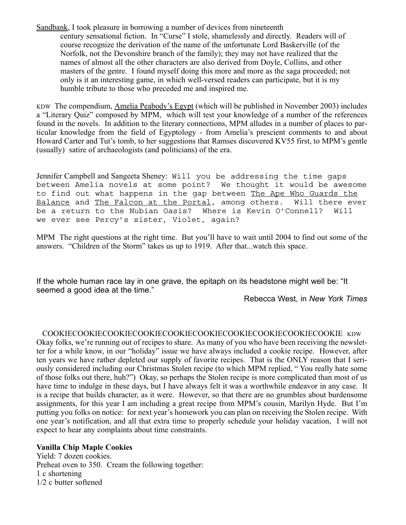Sandbank, I took pleasure in borrowing a number of devices from nineteenth century sensational fiction. In "Curse" I stole, shamelessly and directly. Readers will of course recognize the derivation of the name of the unfortunate Lord Baskerville (of the Norfolk, not the Devonshire branch of the family); they may not have realized that the names of almost all the other characters are also derived from Doyle, Collins, and other masters of the genre. I found myself doing this more and more as the saga proceeded; not only is it an interesting game, in which well-versed readers can participate, but it is my humble tribute to those who preceded me and inspired me.

KDW The compendium, Amelia Peabody's Egypt (which will be published in November 2003) includes a "Literary Quiz" composed by MPM, which will test your knowledge of a number of the references found in the novels. In addition to the literary connections, MPM alludes in a number of places to particular knowledge from the field of Egyptology - from Amelia's prescient comments to and about Howard Carter and Tut's tomb, to her suggestions that Ramses discovered KV55 first, to MPM's gentle (usually) satire of archaeologists (and politicians) of the era.

Jennifer Campbell and Sangeeta Sheney: Will you be addressing the time gaps between Amelia novels at some point? We thought it would be awesome to find out what happens in the gap between The Ape Who Guards the Balance and The Falcon at the Portal, among others. Will there ever be a return to the Nubian Oasis? Where is Kevin O'Connell? Will we ever see Percy's sister, Violet, again?

MPM The right questions at the right time. But you'll have to wait until 2004 to find out some of the answers. "Children of the Storm" takes us up to 1919. After that...watch this space.

If the whole human race lay in one grave, the epitaph on its headstone might well be: "It seemed a good idea at the time."

Rebecca West, in *New York Times*

#### COOKIECOOKIECOOKIECOOKIECOOKIECOOKIECOOKIECOOKIECOOKIECOOKIE KDW

Okay folks, we're running out of recipes to share. As many of you who have been receiving the newsletter for a while know, in our "holiday" issue we have always included a cookie recipe. However, after ten years we have rather depleted our supply of favorite recipes. That is the ONLY reason that I seriously considered including our Christmas Stolen recipe (to which MPM replied, " You really hate some of those folks out there, huh?") Okay, so perhaps the Stolen recipe is more complicated than most of us have time to indulge in these days, but I have always felt it was a worthwhile endeavor in any case. It is a recipe that builds character, as it were. However, so that there are no grumbles about burdensome assignments, for this year I am including a great recipe from MPM's cousin, Marilyn Hyde. But I'm putting you folks on notice: for next year's homework you can plan on receiving the Stolen recipe. With one year's notification, and all that extra time to properly schedule your holiday vacation, I will not expect to hear any complaints about time constraints.

#### **Vanilla Chip Maple Cookies**

Yield: 7 dozen cookies. Preheat oven to 350. Cream the following together: 1 c shortening 1/2 c butter softened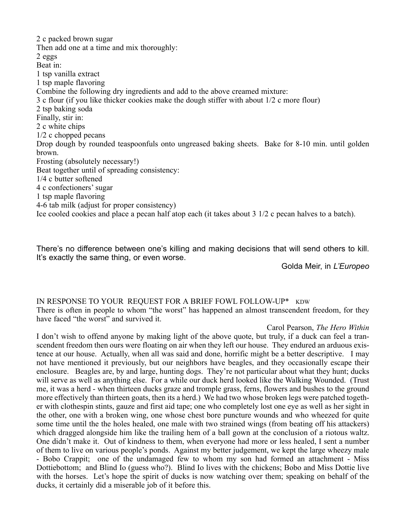2 c packed brown sugar Then add one at a time and mix thoroughly: 2 eggs Beat in: 1 tsp vanilla extract 1 tsp maple flavoring Combine the following dry ingredients and add to the above creamed mixture: 3 c flour (if you like thicker cookies make the dough stiffer with about 1/2 c more flour) 2 tsp baking soda Finally, stir in: 2 c white chips 1/2 c chopped pecans Drop dough by rounded teaspoonfuls onto ungreased baking sheets. Bake for 8-10 min. until golden brown. Frosting (absolutely necessary!) Beat together until of spreading consistency: 1/4 c butter softened 4 c confectioners' sugar 1 tsp maple flavoring 4-6 tab milk (adjust for proper consistency) Ice cooled cookies and place a pecan half atop each (it takes about 3 1/2 c pecan halves to a batch).

There's no difference between one's killing and making decisions that will send others to kill. It's exactly the same thing, or even worse.

Golda Meir, in *L'Europeo*

### IN RESPONSE TO YOUR REQUEST FOR A BRIEF FOWL FOLLOW-UP\* KDW

There is often in people to whom "the worst" has happened an almost transcendent freedom, for they have faced "the worst" and survived it.

#### Carol Pearson, *The Hero Within*

I don't wish to offend anyone by making light of the above quote, but truly, if a duck can feel a transcendent freedom then ours were floating on air when they left our house. They endured an arduous existence at our house. Actually, when all was said and done, horrific might be a better descriptive. I may not have mentioned it previously, but our neighbors have beagles, and they occasionally escape their enclosure. Beagles are, by and large, hunting dogs. They're not particular about what they hunt; ducks will serve as well as anything else. For a while our duck herd looked like the Walking Wounded. (Trust me, it was a herd - when thirteen ducks graze and tromple grass, ferns, flowers and bushes to the ground more effectively than thirteen goats, then its a herd.) We had two whose broken legs were patched together with clothespin stints, gauze and first aid tape; one who completely lost one eye as well as her sight in the other, one with a broken wing, one whose chest bore puncture wounds and who wheezed for quite some time until the the holes healed, one male with two strained wings (from beating off his attackers) which dragged alongside him like the trailing hem of a ball gown at the conclusion of a riotous waltz. One didn't make it. Out of kindness to them, when everyone had more or less healed, I sent a number of them to live on various people's ponds. Against my better judgement, we kept the large wheezy male - Bobo Crappit; one of the undamaged few to whom my son had formed an attachment - Miss Dottiebottom; and Blind Io (guess who?). Blind Io lives with the chickens; Bobo and Miss Dottie live with the horses. Let's hope the spirit of ducks is now watching over them; speaking on behalf of the ducks, it certainly did a miserable job of it before this.